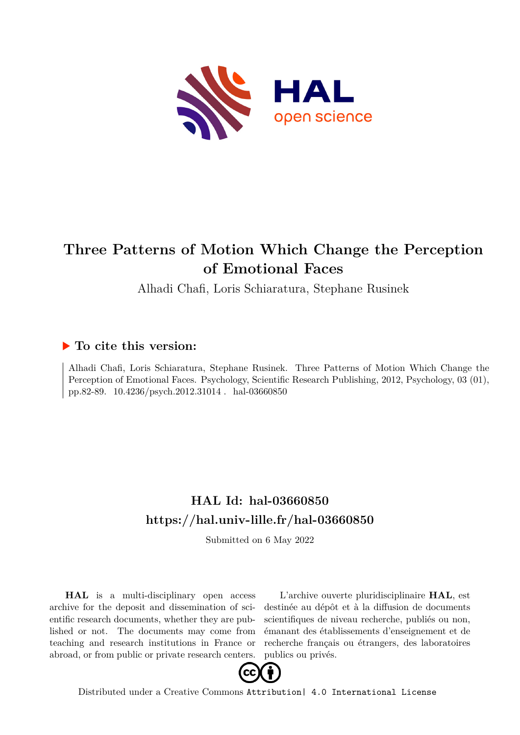

# **Three Patterns of Motion Which Change the Perception of Emotional Faces**

Alhadi Chafi, Loris Schiaratura, Stephane Rusinek

# **To cite this version:**

Alhadi Chafi, Loris Schiaratura, Stephane Rusinek. Three Patterns of Motion Which Change the Perception of Emotional Faces. Psychology, Scientific Research Publishing, 2012, Psychology, 03 (01), pp.82-89. 10.4236/psych.2012.31014 hal-03660850

# **HAL Id: hal-03660850 <https://hal.univ-lille.fr/hal-03660850>**

Submitted on 6 May 2022

**HAL** is a multi-disciplinary open access archive for the deposit and dissemination of scientific research documents, whether they are published or not. The documents may come from teaching and research institutions in France or abroad, or from public or private research centers.

L'archive ouverte pluridisciplinaire **HAL**, est destinée au dépôt et à la diffusion de documents scientifiques de niveau recherche, publiés ou non, émanant des établissements d'enseignement et de recherche français ou étrangers, des laboratoires publics ou privés.



Distributed under a Creative Commons [Attribution| 4.0 International License](http://creativecommons.org/licenses/by/4.0/)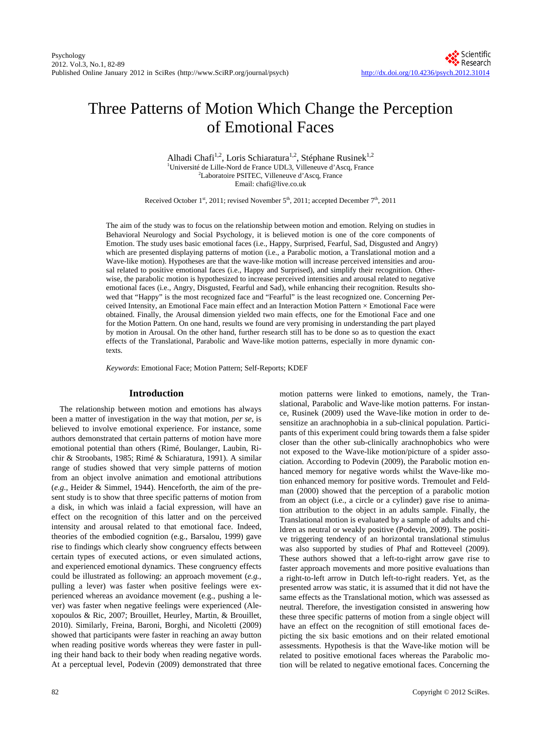# Three Patterns of Motion Which Change the Perception of Emotional Faces

Alhadi Chafi<sup>1,2</sup>, Loris Schiaratura<sup>1,2</sup>, Stéphane Rusinek<sup>1,2</sup> <sup>1</sup>Université de Lille-Nord de France UDL3, Villeneuve d'Ascq, France <sup>27</sup> aboratoire PSITEC, Villeneuve d'Ascq, France Laboratoire PSITEC, Villeneuve d'Ascq, France Email: chafi@live.co.uk

Received October 1st, 2011; revised November 5<sup>th</sup>, 2011; accepted December 7<sup>th</sup>, 2011

The aim of the study was to focus on the relationship between motion and emotion. Relying on studies in Behavioral Neurology and Social Psychology, it is believed motion is one of the core components of Emotion. The study uses basic emotional faces (i.e., Happy, Surprised, Fearful, Sad, Disgusted and Angry) which are presented displaying patterns of motion (i.e., a Parabolic motion, a Translational motion and a Wave-like motion). Hypotheses are that the wave-like motion will increase perceived intensities and arousal related to positive emotional faces (i.e., Happy and Surprised), and simplify their recognition. Otherwise, the parabolic motion is hypothesized to increase perceived intensities and arousal related to negative emotional faces (i.e., Angry, Disgusted, Fearful and Sad), while enhancing their recognition. Results showed that "Happy" is the most recognized face and "Fearful" is the least recognized one. Concerning Perceived Intensity, an Emotional Face main effect and an Interaction Motion Pattern × Emotional Face were obtained. Finally, the Arousal dimension yielded two main effects, one for the Emotional Face and one for the Motion Pattern. On one hand, results we found are very promising in understanding the part played by motion in Arousal. On the other hand, further research still has to be done so as to question the exact effects of the Translational, Parabolic and Wave-like motion patterns, especially in more dynamic contexts.

*Keywords*: Emotional Face; Motion Pattern; Self-Reports; KDEF

# **Introduction**

The relationship between motion and emotions has always been a matter of investigation in the way that motion, *per se*, is believed to involve emotional experience. For instance, some authors demonstrated that certain patterns of motion have more emotional potential than others (Rimé, Boulanger, Laubin, Richir & Stroobants, 1985; Rimé & Schiaratura, 1991). A similar range of studies showed that very simple patterns of motion from an object involve animation and emotional attributions (*e.g.*, Heider & Simmel, 1944). Henceforth, the aim of the present study is to show that three specific patterns of motion from a disk, in which was inlaid a facial expression, will have an effect on the recognition of this latter and on the perceived intensity and arousal related to that emotional face. Indeed, theories of the embodied cognition (e.g., Barsalou, 1999) gave rise to findings which clearly show congruency effects between certain types of executed actions, or even simulated actions, and experienced emotional dynamics. These congruency effects could be illustrated as following: an approach movement (*e.g.*, pulling a lever) was faster when positive feelings were experienced whereas an avoidance movement (e.g., pushing a lever) was faster when negative feelings were experienced (Alexopoulos & Ric, 2007; Brouillet, Heurley, Martin, & Brouillet, 2010). Similarly, Freina, Baroni, Borghi, and Nicoletti (2009) showed that participants were faster in reaching an away button when reading positive words whereas they were faster in pulling their hand back to their body when reading negative words. At a perceptual level, Podevin (2009) demonstrated that three motion patterns were linked to emotions, namely, the Translational, Parabolic and Wave-like motion patterns. For instance, Rusinek (2009) used the Wave-like motion in order to desensitize an arachnophobia in a sub-clinical population. Participants of this experiment could bring towards them a false spider closer than the other sub-clinically arachnophobics who were not exposed to the Wave-like motion/picture of a spider association. According to Podevin (2009), the Parabolic motion enhanced memory for negative words whilst the Wave-like motion enhanced memory for positive words. Tremoulet and Feldman (2000) showed that the perception of a parabolic motion from an object (i.e., a circle or a cylinder) gave rise to animation attribution to the object in an adults sample. Finally, the Translational motion is evaluated by a sample of adults and children as neutral or weakly positive (Podevin, 2009). The positive triggering tendency of an horizontal translational stimulus was also supported by studies of Phaf and Rotteveel (2009). These authors showed that a left-to-right arrow gave rise to faster approach movements and more positive evaluations than a right-to-left arrow in Dutch left-to-right readers. Yet, as the presented arrow was static, it is assumed that it did not have the same effects as the Translational motion, which was assessed as neutral. Therefore, the investigation consisted in answering how these three specific patterns of motion from a single object will have an effect on the recognition of still emotional faces depicting the six basic emotions and on their related emotional assessments. Hypothesis is that the Wave-like motion will be related to positive emotional faces whereas the Parabolic motion will be related to negative emotional faces. Concerning the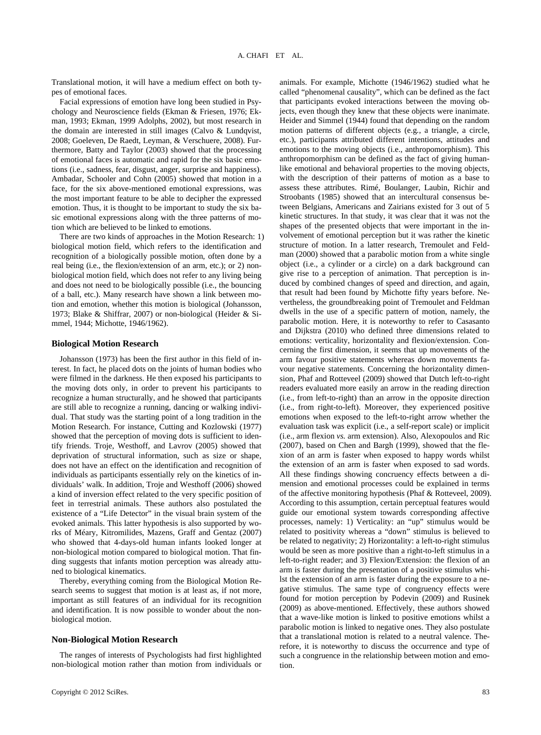Translational motion, it will have a medium effect on both types of emotional faces.

Facial expressions of emotion have long been studied in Psychology and Neuroscience fields (Ekman & Friesen, 1976; Ekman, 1993; Ekman, 1999 Adolphs, 2002), but most research in the domain are interested in still images (Calvo & Lundqvist, 2008; Goeleven, De Raedt, Leyman, & Verschuere, 2008). Furthermore, Batty and Taylor (2003) showed that the processing of emotional faces is automatic and rapid for the six basic emotions (i.e., sadness, fear, disgust, anger, surprise and happiness). Ambadar, Schooler and Cohn (2005) showed that motion in a face, for the six above-mentioned emotional expressions, was the most important feature to be able to decipher the expressed emotion. Thus, it is thought to be important to study the six basic emotional expressions along with the three patterns of motion which are believed to be linked to emotions.

There are two kinds of approaches in the Motion Research: 1) biological motion field, which refers to the identification and recognition of a biologically possible motion, often done by a real being (i.e., the flexion/extension of an arm, etc.); or 2) nonbiological motion field, which does not refer to any living being and does not need to be biologically possible (i.e., the bouncing of a ball, etc.). Many research have shown a link between motion and emotion, whether this motion is biological (Johansson, 1973; Blake & Shiffrar, 2007) or non-biological (Heider & Simmel, 1944; Michotte, 1946/1962).

#### **Biological Motion Research**

Johansson (1973) has been the first author in this field of interest. In fact, he placed dots on the joints of human bodies who were filmed in the darkness. He then exposed his participants to the moving dots only, in order to prevent his participants to recognize a human structurally, and he showed that participants are still able to recognize a running, dancing or walking individual. That study was the starting point of a long tradition in the Motion Research. For instance, Cutting and Kozlowski (1977) showed that the perception of moving dots is sufficient to identify friends. Troje, Westhoff, and Lavrov (2005) showed that deprivation of structural information, such as size or shape, does not have an effect on the identification and recognition of individuals as participants essentially rely on the kinetics of individuals' walk. In addition, Troje and Westhoff (2006) showed a kind of inversion effect related to the very specific position of feet in terrestrial animals. These authors also postulated the existence of a "Life Detector" in the visual brain system of the evoked animals. This latter hypothesis is also supported by works of Méary, Kitromilides, Mazens, Graff and Gentaz (2007) who showed that 4-days-old human infants looked longer at non-biological motion compared to biological motion. That finding suggests that infants motion perception was already attuned to biological kinematics.

Thereby, everything coming from the Biological Motion Research seems to suggest that motion is at least as, if not more, important as still features of an individual for its recognition and identification. It is now possible to wonder about the nonbiological motion.

### **Non-Biological Motion Research**

The ranges of interests of Psychologists had first highlighted non-biological motion rather than motion from individuals or

animals. For example, Michotte (1946/1962) studied what he called "phenomenal causality", which can be defined as the fact that participants evoked interactions between the moving objects, even though they knew that these objects were inanimate. Heider and Simmel (1944) found that depending on the random motion patterns of different objects (e.g*.*, a triangle, a circle, etc.), participants attributed different intentions, attitudes and emotions to the moving objects (i.e., anthropomorphism). This anthropomorphism can be defined as the fact of giving humanlike emotional and behavioral properties to the moving objects, with the description of their patterns of motion as a base to assess these attributes. Rimé, Boulanger, Laubin, Richir and Stroobants (1985) showed that an intercultural consensus between Belgians, Americans and Zairians existed for 3 out of 5 kinetic structures. In that study, it was clear that it was not the shapes of the presented objects that were important in the involvement of emotional perception but it was rather the kinetic structure of motion. In a latter research, Tremoulet and Feldman (2000) showed that a parabolic motion from a white single object (i.e., a cylinder or a circle) on a dark background can give rise to a perception of animation. That perception is induced by combined changes of speed and direction, and again, that result had been found by Michotte fifty years before. Nevertheless, the groundbreaking point of Tremoulet and Feldman dwells in the use of a specific pattern of motion, namely, the parabolic motion. Here, it is noteworthy to refer to Casasanto and Dijkstra (2010) who defined three dimensions related to emotions: verticality, horizontality and flexion/extension. Concerning the first dimension, it seems that up movements of the arm favour positive statements whereas down movements favour negative statements. Concerning the horizontality dimension, Phaf and Rotteveel (2009) showed that Dutch left-to-right readers evaluated more easily an arrow in the reading direction (i.e., from left-to-right) than an arrow in the opposite direction (i.e., from right-to-left). Moreover, they experienced positive emotions when exposed to the left-to-right arrow whether the evaluation task was explicit (i.e., a self-report scale) or implicit (i.e., arm flexion *vs.* arm extension). Also, Alexopoulos and Ric (2007), based on Chen and Bargh (1999), showed that the flexion of an arm is faster when exposed to happy words whilst the extension of an arm is faster when exposed to sad words. All these findings showing concruency effects between a dimension and emotional processes could be explained in terms of the affective monitoring hypothesis (Phaf & Rotteveel, 2009). According to this assumption, certain perceptual features would guide our emotional system towards corresponding affective processes, namely: 1) Verticality: an "up" stimulus would be related to positivity whereas a "down" stimulus is believed to be related to negativity; 2) Horizontality: a left-to-right stimulus would be seen as more positive than a right-to-left stimulus in a left-to-right reader; and 3) Flexion/Extension: the flexion of an arm is faster during the presentation of a positive stimulus whilst the extension of an arm is faster during the exposure to a negative stimulus. The same type of congruency effects were found for motion perception by Podevin (2009) and Rusinek (2009) as above-mentioned. Effectively, these authors showed that a wave-like motion is linked to positive emotions whilst a parabolic motion is linked to negative ones. They also postulate that a translational motion is related to a neutral valence. Therefore, it is noteworthy to discuss the occurrence and type of such a congruence in the relationship between motion and emotion.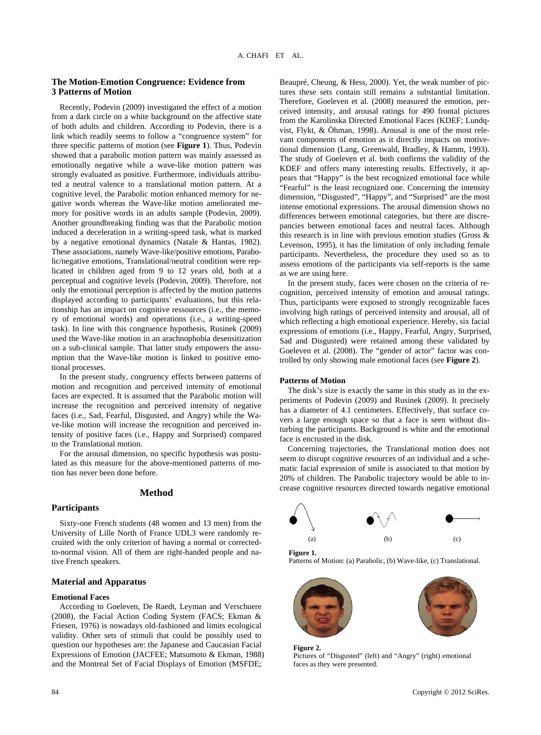# **The Motion-Emotion Congruence: Evidence from 3 Patterns of Motion**

Recently, Podevin (2009) investigated the effect of a motion from a dark circle on a white background on the affective state of both adults and children. According to Podevin, there is a link which readily seems to follow a "congruence system" for three specific patterns of motion (see **Figure 1**). Thus, Podevin showed that a parabolic motion pattern was mainly assessed as emotionally negative while a wave-like motion pattern was strongly evaluated as positive. Furthermore, individuals attributed a neutral valence to a translational motion pattern. At a cognitive level, the Parabolic motion enhanced memory for negative words whereas the Wave-like motion ameliorated memory for positive words in an adults sample (Podevin, 2009). Another groundbreaking finding was that the Parabolic motion induced a deceleration in a writing-speed task, what is marked by a negative emotional dynamics (Natale & Hantas, 1982). These associations, namely Wave-like/positive emotions, Parabolic/negative emotions, Translational/neutral condition were replicated in children aged from 9 to 12 years old, both at a perceptual and cognitive levels (Podevin, 2009). Therefore, not only the emotional perception is affected by the motion patterns displayed according to participants' evaluations, but this relationship has an impact on cognitive ressources (i.e., the memory of emotional words) and operations (i.e., a writing-speed task). In line with this congruence hypothesis, Rusinek (2009) used the Wave-like motion in an arachnophobia desensitization on a sub-clinical sample. That latter study empowers the assumption that the Wave-like motion is linked to positive emotional processes.

In the present study, congruency effects between patterns of motion and recognition and perceived intensity of emotional faces are expected. It is assumed that the Parabolic motion will increase the recognition and perceived intensity of negative faces (i.e., Sad, Fearful, Disgusted, and Angry) while the Wave-like motion will increase the recognition and perceived intensity of positive faces (i.e., Happy and Surprised) compared to the Translational motion.

For the arousal dimension, no specific hypothesis was postulated as this measure for the above-mentioned patterns of motion has never been done before.

# **Method**

#### **Participants**

Sixty-one French students (48 women and 13 men) from the University of Lille North of France UDL3 were randomly recruited with the only criterion of having a normal or correctedto-normal vision. All of them are right-handed people and native French speakers.

# **Material and Apparatus**

#### **Emotional Faces**

According to Goeleven, De Raedt, Leyman and Verschuere (2008), the Facial Action Coding System (FACS; Ekman & Friesen, 1976) is nowadays old-fashioned and limits ecological validity. Other sets of stimuli that could be possibly used to question our hypotheses are: the Japanese and Caucasian Facial Expressions of Emotion (JACFEE; Matsumoto & Ekman, 1988) and the Montreal Set of Facial Displays of Emotion (MSFDE;

Beaupré, Cheung, & Hess, 2000). Yet, the weak number of pictures these sets contain still remains a substantial limitation. Therefore, Goeleven et al. (2008) measured the emotion, perceived intensity, and arousal ratings for 490 frontal pictures from the Karolinska Directed Emotional Faces (KDEF; Lundqvist, Flykt, & Öhman, 1998). Arousal is one of the most relevant components of emotion as it directly impacts on motivetional dimension (Lang, Greenwald, Bradley, & Hamm, 1993). The study of Goeleven et al. both confirms the validity of the KDEF and offers many interesting results. Effectively, it appears that "Happy" is the best recognized emotional face while "Fearful" is the least recognized one. Concerning the intensity dimension, "Disgusted", "Happy", and "Surprised" are the most intense emotional expressions. The arousal dimension shows no differences between emotional categories, but there are discrepancies between emotional faces and neutral faces. Although this research is in line with previous emotion studies (Gross & Levenson, 1995), it has the limitation of only including female participants. Nevertheless, the procedure they used so as to assess emotions of the participants via self-reports is the same as we are using here.

In the present study, faces were chosen on the criteria of recognition, perceived intensity of emotion and arousal ratings. Thus, participants were exposed to strongly recognizable faces involving high ratings of perceived intensity and arousal, all of which reflecting a high emotional experience. Hereby, six facial expressions of emotions (i.e., Happy, Fearful, Angry, Surprised, Sad and Disgusted) were retained among these validated by Goeleven et al. (2008). The "gender of actor" factor was controlled by only showing male emotional faces (see **Figure 2**).

# **Patterns of Motion**

The disk's size is exactly the same in this study as in the experiments of Podevin (2009) and Rusinek (2009). It precisely has a diameter of 4.1 centimeters. Effectively, that surface covers a large enough space so that a face is seen without disturbing the participants. Background is white and the emotional face is encrusted in the disk.

Concerning trajectories, the Translational motion does not seem to disrupt cognitive resources of an individual and a schematic facial expression of smile is associated to that motion by 20% of children. The Parabolic trajectory would be able to increase cognitive resources directed towards negative emotional



Patterns of Motion: (a) Parabolic, (b) Wave-like, (c) Translational.



**Figure 2.**  Pictures of "Disgusted" (left) and "Angry" (right) emotional faces as they were presented.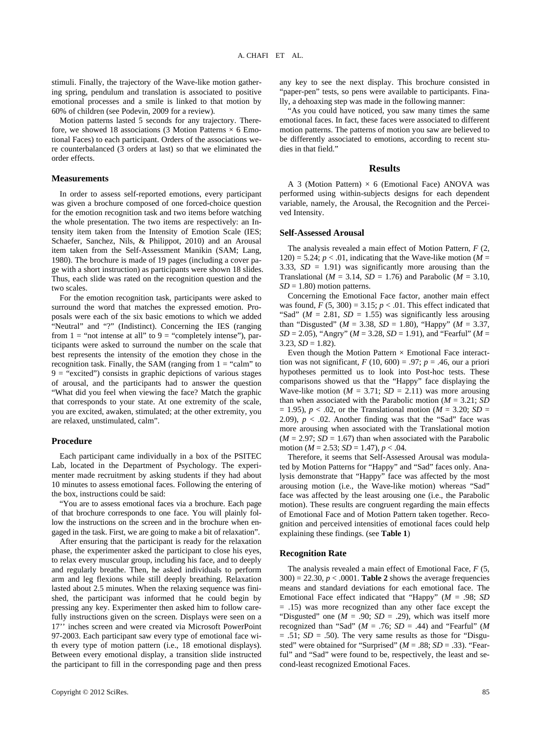stimuli. Finally, the trajectory of the Wave-like motion gathering spring, pendulum and translation is associated to positive emotional processes and a smile is linked to that motion by 60% of children (see Podevin, 2009 for a review).

Motion patterns lasted 5 seconds for any trajectory. Therefore, we showed 18 associations (3 Motion Patterns  $\times$  6 Emotional Faces) to each participant. Orders of the associations were counterbalanced (3 orders at last) so that we eliminated the order effects.

# **Measurements**

In order to assess self-reported emotions, every participant was given a brochure composed of one forced-choice question for the emotion recognition task and two items before watching the whole presentation. The two items are respectively: an Intensity item taken from the Intensity of Emotion Scale (IES; Schaefer, Sanchez, Nils, & Philippot, 2010) and an Arousal item taken from the Self-Assessment Manikin (SAM; Lang, 1980). The brochure is made of 19 pages (including a cover page with a short instruction) as participants were shown 18 slides. Thus, each slide was rated on the recognition question and the two scales.

For the emotion recognition task, participants were asked to surround the word that matches the expressed emotion. Proposals were each of the six basic emotions to which we added "Neutral" and "?" (Indistinct). Concerning the IES (ranging from  $1 =$  "not intense at all" to  $9 =$  "completely intense"), participants were asked to surround the number on the scale that best represents the intensity of the emotion they chose in the recognition task. Finally, the SAM (ranging from  $1 =$  "calm" to  $9 =$  "excited") consists in graphic depictions of various stages of arousal, and the participants had to answer the question "What did you feel when viewing the face? Match the graphic that corresponds to your state. At one extremity of the scale, you are excited, awaken, stimulated; at the other extremity, you are relaxed, unstimulated, calm".

#### **Procedure**

Each participant came individually in a box of the PSITEC Lab, located in the Department of Psychology. The experimenter made recruitment by asking students if they had about 10 minutes to assess emotional faces. Following the entering of the box, instructions could be said:

"You are to assess emotional faces via a brochure. Each page of that brochure corresponds to one face. You will plainly follow the instructions on the screen and in the brochure when engaged in the task. First, we are going to make a bit of relaxation".

After ensuring that the participant is ready for the relaxation phase, the experimenter asked the participant to close his eyes, to relax every muscular group, including his face, and to deeply and regularly breathe. Then, he asked individuals to perform arm and leg flexions while still deeply breathing. Relaxation lasted about 2.5 minutes. When the relaxing sequence was finished, the participant was informed that he could begin by pressing any key. Experimenter then asked him to follow carefully instructions given on the screen. Displays were seen on a 17'' inches screen and were created via Microsoft PowerPoint 97-2003. Each participant saw every type of emotional face with every type of motion pattern (i.e., 18 emotional displays). Between every emotional display, a transition slide instructed the participant to fill in the corresponding page and then press

any key to see the next display. This brochure consisted in "paper-pen" tests, so pens were available to participants. Finally, a dehoaxing step was made in the following manner:

"As you could have noticed, you saw many times the same emotional faces. In fact, these faces were associated to different motion patterns. The patterns of motion you saw are believed to be differently associated to emotions, according to recent studies in that field."

#### **Results**

A 3 (Motion Pattern)  $\times$  6 (Emotional Face) ANOVA was performed using within-subjects designs for each dependent variable, namely, the Arousal, the Recognition and the Perceived Intensity.

# **Self-Assessed Arousal**

The analysis revealed a main effect of Motion Pattern, *F* (2, 120) = 5.24;  $p < .01$ , indicating that the Wave-like motion ( $M =$ 3.33,  $SD = 1.91$ ) was significantly more arousing than the Translational ( $M = 3.14$ ,  $SD = 1.76$ ) and Parabolic ( $M = 3.10$ ,  $SD = 1.80$ ) motion patterns.

Concerning the Emotional Face factor, another main effect was found,  $F(5, 300) = 3.15$ ;  $p < .01$ . This effect indicated that "Sad" ( $M = 2.81$ ,  $SD = 1.55$ ) was significantly less arousing than "Disgusted" ( $M = 3.38$ ,  $SD = 1.80$ ), "Happy" ( $M = 3.37$ , *SD* = 2.05), "Angry" (*M* = 3.28, *SD* = 1.91), and "Fearful" (*M* =  $3.23, SD = 1.82$ .

Even though the Motion Pattern  $\times$  Emotional Face interacttion was not significant,  $F(10, 600) = .97$ ;  $p = .46$ , our a priori hypotheses permitted us to look into Post-hoc tests. These comparisons showed us that the "Happy" face displaying the Wave-like motion ( $M = 3.71$ ;  $SD = 2.11$ ) was more arousing than when associated with the Parabolic motion  $(M = 3.21; SD)$  $= 1.95$ ,  $p < .02$ , or the Translational motion ( $M = 3.20$ ; *SD =* 2.09),  $p < .02$ . Another finding was that the "Sad" face was more arousing when associated with the Translational motion  $(M = 2.97; SD = 1.67)$  than when associated with the Parabolic motion ( $M = 2.53$ ;  $SD = 1.47$ ),  $p < .04$ .

Therefore, it seems that Self-Assessed Arousal was modulated by Motion Patterns for "Happy" and "Sad" faces only. Analysis demonstrate that "Happy" face was affected by the most arousing motion (i.e.*,* the Wave-like motion) whereas "Sad" face was affected by the least arousing one (i.e., the Parabolic motion). These results are congruent regarding the main effects of Emotional Face and of Motion Pattern taken together. Recognition and perceived intensities of emotional faces could help explaining these findings. (see **Table 1**)

#### **Recognition Rate**

The analysis revealed a main effect of Emotional Face, *F* (5,  $300$  = 22.30,  $p < .0001$ . **Table 2** shows the average frequencies means and standard deviations for each emotional face. The Emotional Face effect indicated that "Happy" (*M* = .98; *SD*  = .15) was more recognized than any other face except the "Disgusted" one ( $M = .90$ ;  $SD = .29$ ), which was itself more recognized than "Sad" ( $M = .76$ ;  $SD = .44$ ) and "Fearful" ( $M$  $= .51$ ; *SD*  $= .50$ ). The very same results as those for "Disgusted" were obtained for "Surprised" ( $M = .88$ ;  $SD = .33$ ). "Fearful" and "Sad" were found to be, respectively, the least and second-least recognized Emotional Faces.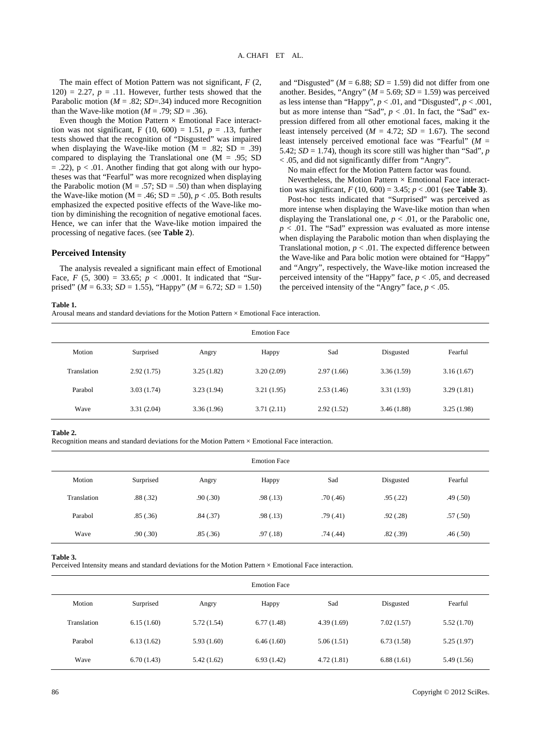The main effect of Motion Pattern was not significant, *F* (2,  $120$ ) = 2.27,  $p = .11$ . However, further tests showed that the Parabolic motion ( $M = .82$ ; *SD*=.34) induced more Recognition than the Wave-like motion ( $M = .79$ ;  $SD = .36$ ).

Even though the Motion Pattern  $\times$  Emotional Face interacttion was not significant, F (10, 600) = 1.51,  $p = .13$ , further tests showed that the recognition of "Disgusted" was impaired when displaying the Wave-like motion ( $M = .82$ ; SD = .39) compared to displaying the Translational one ( $M = .95$ ; SD  $= .22$ ),  $p < .01$ . Another finding that got along with our hypotheses was that "Fearful" was more recognized when displaying the Parabolic motion ( $M = .57$ ; SD = .50) than when displaying the Wave-like motion ( $M = .46$ ;  $SD = .50$ ),  $p < .05$ . Both results emphasized the expected positive effects of the Wave-like motion by diminishing the recognition of negative emotional faces. Hence, we can infer that the Wave-like motion impaired the processing of negative faces. (see **Table 2**).

# **Perceived Intensity**

The analysis revealed a significant main effect of Emotional Face, *F* (5, 300) = 33.65;  $p < .0001$ . It indicated that "Surprised" ( $M = 6.33$ ; *SD* = 1.55), "Happy" ( $M = 6.72$ ; *SD* = 1.50) and "Disgusted" ( $M = 6.88$ ;  $SD = 1.59$ ) did not differ from one another. Besides, "Angry" ( $M = 5.69$ ;  $SD = 1.59$ ) was perceived as less intense than "Happy",  $p < .01$ , and "Disgusted",  $p < .001$ , but as more intense than "Sad",  $p < .01$ . In fact, the "Sad" expression differed from all other emotional faces, making it the least intensely perceived ( $M = 4.72$ ;  $SD = 1.67$ ). The second least intensely perceived emotional face was "Fearful" (*M* = 5.42;  $SD = 1.74$ ), though its score still was higher than "Sad", *p* < .05, and did not significantly differ from "Angry".

No main effect for the Motion Pattern factor was found.

Nevertheless, the Motion Pattern  $\times$  Emotional Face interacttion was significant,  $F(10, 600) = 3.45$ ;  $p < .001$  (see **Table 3**).

Post-hoc tests indicated that "Surprised" was perceived as more intense when displaying the Wave-like motion than when displaying the Translational one,  $p < .01$ , or the Parabolic one,  $p < .01$ . The "Sad" expression was evaluated as more intense when displaying the Parabolic motion than when displaying the Translational motion,  $p < .01$ . The expected difference between the Wave-like and Para bolic motion were obtained for "Happy" and "Angry", respectively, the Wave-like motion increased the perceived intensity of the "Happy" face, *p* < .05, and decreased the perceived intensity of the "Angry" face,  $p < .05$ .

#### **Table 1.**

Arousal means and standard deviations for the Motion Pattern × Emotional Face interaction.

| <b>Emotion Face</b> |            |            |            |            |            |            |  |
|---------------------|------------|------------|------------|------------|------------|------------|--|
| Motion              | Surprised  | Angry      | Happy      | Sad        | Disgusted  | Fearful    |  |
| Translation         | 2.92(1.75) | 3.25(1.82) | 3.20(2.09) | 2.97(1.66) | 3.36(1.59) | 3.16(1.67) |  |
| Parabol             | 3.03(1.74) | 3.23(1.94) | 3.21(1.95) | 2.53(1.46) | 3.31(1.93) | 3.29(1.81) |  |
| Wave                | 3.31(2.04) | 3.36(1.96) | 3.71(2.11) | 2.92(1.52) | 3.46(1.88) | 3.25(1.98) |  |

#### **Table 2.**

Recognition means and standard deviations for the Motion Pattern × Emotional Face interaction.

| <b>Emotion Face</b> |           |          |           |           |           |          |  |
|---------------------|-----------|----------|-----------|-----------|-----------|----------|--|
| Motion              | Surprised | Angry    | Happy     | Sad       | Disgusted | Fearful  |  |
| Translation         | .88(.32)  | .90(.30) | .98(0.13) | .70(0.46) | .95(.22)  | .49(.50) |  |
| Parabol             | .85(.36)  | .84(.37) | .98(0.13) | .79(.41)  | .92(.28)  | .57(.50) |  |
| Wave                | .90(.30)  | .85(.36) | .97(0.18) | .74(.44)  | .82(.39)  | .46(.50) |  |

#### **Table 3.**

Perceived Intensity means and standard deviations for the Motion Pattern × Emotional Face interaction.

| <b>Emotion Face</b> |            |            |            |            |            |             |  |
|---------------------|------------|------------|------------|------------|------------|-------------|--|
| Motion              | Surprised  | Angry      | Happy      | Sad        | Disgusted  | Fearful     |  |
| Translation         | 6.15(1.60) | 5.72(1.54) | 6.77(1.48) | 4.39(1.69) | 7.02(1.57) | 5.52(1.70)  |  |
| Parabol             | 6.13(1.62) | 5.93(1.60) | 6.46(1.60) | 5.06(1.51) | 6.73(1.58) | 5.25(1.97)  |  |
| Wave                | 6.70(1.43) | 5.42(1.62) | 6.93(1.42) | 4.72(1.81) | 6.88(1.61) | 5.49 (1.56) |  |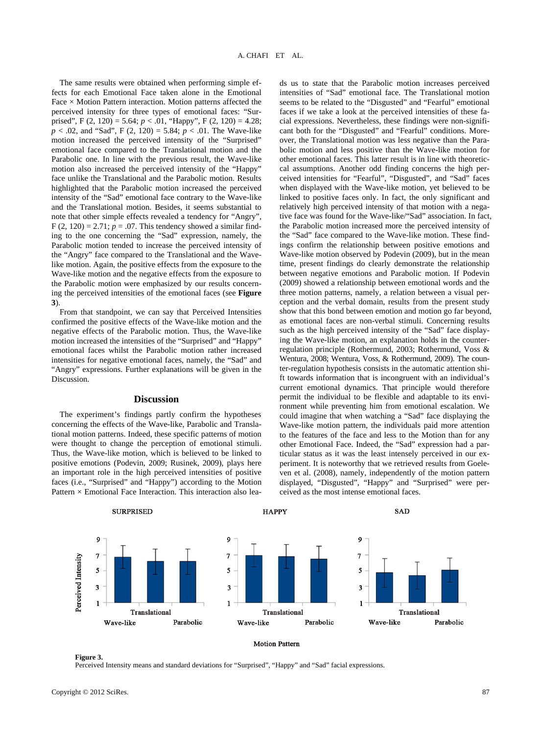The same results were obtained when performing simple effects for each Emotional Face taken alone in the Emotional Face  $\times$  Motion Pattern interaction. Motion patterns affected the perceived intensity for three types of emotional faces: "Surprised", F (2, 120) = 5.64; *p* < .01, "Happy", F (2, 120) = 4.28; *p* < .02, and "Sad", F (2, 120) = 5.84; *p* < .01. The Wave-like motion increased the perceived intensity of the "Surprised" emotional face compared to the Translational motion and the Parabolic one. In line with the previous result, the Wave-like motion also increased the perceived intensity of the "Happy" face unlike the Translational and the Parabolic motion. Results highlighted that the Parabolic motion increased the perceived intensity of the "Sad" emotional face contrary to the Wave-like and the Translational motion. Besides, it seems substantial to note that other simple effects revealed a tendency for "Angry", F (2, 120) = 2.71;  $p = .07$ . This tendency showed a similar finding to the one concerning the "Sad" expression, namely, the Parabolic motion tended to increase the perceived intensity of the "Angry" face compared to the Translational and the Wavelike motion. Again, the positive effects from the exposure to the Wave-like motion and the negative effects from the exposure to the Parabolic motion were emphasized by our results concerning the perceived intensities of the emotional faces (see **Figure 3**).

From that standpoint, we can say that Perceived Intensities confirmed the positive effects of the Wave-like motion and the negative effects of the Parabolic motion. Thus, the Wave-like motion increased the intensities of the "Surprised" and "Happy" emotional faces whilst the Parabolic motion rather increased intensities for negative emotional faces, namely, the "Sad" and "Angry" expressions. Further explanations will be given in the Discussion.

## **Discussion**

The experiment's findings partly confirm the hypotheses concerning the effects of the Wave-like, Parabolic and Translational motion patterns. Indeed, these specific patterns of motion were thought to change the perception of emotional stimuli. Thus, the Wave-like motion, which is believed to be linked to positive emotions (Podevin, 2009; Rusinek, 2009), plays here an important role in the high perceived intensities of positive faces (i.e., "Surprised" and "Happy") according to the Motion Pattern  $\times$  Emotional Face Interaction. This interaction also leads us to state that the Parabolic motion increases perceived intensities of "Sad" emotional face. The Translational motion seems to be related to the "Disgusted" and "Fearful" emotional faces if we take a look at the perceived intensities of these facial expressions. Nevertheless, these findings were non-significant both for the "Disgusted" and "Fearful" conditions. Moreover, the Translational motion was less negative than the Parabolic motion and less positive than the Wave-like motion for other emotional faces. This latter result is in line with theoreticcal assumptions. Another odd finding concerns the high perceived intensities for "Fearful", "Disgusted", and "Sad" faces when displayed with the Wave-like motion, yet believed to be linked to positive faces only. In fact, the only significant and relatively high perceived intensity of that motion with a negative face was found for the Wave-like/"Sad" association. In fact, the Parabolic motion increased more the perceived intensity of the "Sad" face compared to the Wave-like motion. These findings confirm the relationship between positive emotions and Wave-like motion observed by Podevin (2009), but in the mean time, present findings do clearly demonstrate the relationship between negative emotions and Parabolic motion. If Podevin (2009) showed a relationship between emotional words and the three motion patterns, namely, a relation between a visual perception and the verbal domain, results from the present study show that this bond between emotion and motion go far beyond, as emotional faces are non-verbal stimuli. Concerning results such as the high perceived intensity of the "Sad" face displaying the Wave-like motion, an explanation holds in the counterregulation principle (Rothermund, 2003; Rothermund, Voss & Wentura, 2008; Wentura, Voss, & Rothermund, 2009). The counter-regulation hypothesis consists in the automatic attention shift towards information that is incongruent with an individual's current emotional dynamics. That principle would therefore permit the individual to be flexible and adaptable to its environment while preventing him from emotional escalation. We could imagine that when watching a "Sad" face displaying the Wave-like motion pattern, the individuals paid more attention to the features of the face and less to the Motion than for any other Emotional Face. Indeed, the "Sad" expression had a particular status as it was the least intensely perceived in our experiment. It is noteworthy that we retrieved results from Goeleven et al. (2008), namely, independently of the motion pattern displayed, "Disgusted", "Happy" and "Surprised" were perceived as the most intense emotional faces.



#### **Motion Pattern**

**Figure 3.**  Perceived Intensity means and standard deviations for "Surprised", "Happy" and "Sad" facial expressions.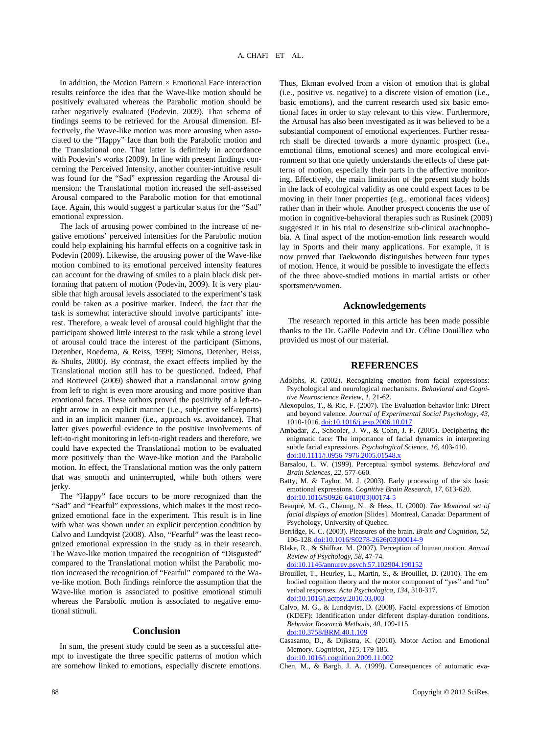In addition, the Motion Pattern  $\times$  Emotional Face interaction results reinforce the idea that the Wave-like motion should be positively evaluated whereas the Parabolic motion should be rather negatively evaluated (Podevin, 2009). That schema of findings seems to be retrieved for the Arousal dimension. Effectively, the Wave-like motion was more arousing when associated to the "Happy" face than both the Parabolic motion and the Translational one. That latter is definitely in accordance with Podevin's works (2009). In line with present findings concerning the Perceived Intensity, another counter-intuitive result was found for the "Sad" expression regarding the Arousal dimension: the Translational motion increased the self-assessed Arousal compared to the Parabolic motion for that emotional face. Again, this would suggest a particular status for the "Sad" emotional expression.

The lack of arousing power combined to the increase of negative emotions' perceived intensities for the Parabolic motion could help explaining his harmful effects on a cognitive task in Podevin (2009). Likewise, the arousing power of the Wave-like motion combined to its emotional perceived intensity features can account for the drawing of smiles to a plain black disk performing that pattern of motion (Podevin, 2009). It is very plausible that high arousal levels associated to the experiment's task could be taken as a positive marker. Indeed, the fact that the task is somewhat interactive should involve participants' interest. Therefore, a weak level of arousal could highlight that the participant showed little interest to the task while a strong level of arousal could trace the interest of the participant (Simons, Detenber, Roedema, & Reiss, 1999; Simons, Detenber, Reiss, & Shults, 2000). By contrast, the exact effects implied by the Translational motion still has to be questioned. Indeed, Phaf and Rotteveel (2009) showed that a translational arrow going from left to right is even more arousing and more positive than emotional faces. These authors proved the positivity of a left-toright arrow in an explicit manner (i.e., subjective self-reports) and in an implicit manner (i.e., approach *vs.* avoidance). That latter gives powerful evidence to the positive involvements of left-to-right monitoring in left-to-right readers and therefore, we could have expected the Translational motion to be evaluated more positively than the Wave-like motion and the Parabolic motion. In effect, the Translational motion was the only pattern that was smooth and uninterrupted, while both others were jerky.

The "Happy" face occurs to be more recognized than the "Sad" and "Fearful" expressions, which makes it the most recognized emotional face in the experiment. This result is in line with what was shown under an explicit perception condition by Calvo and Lundqvist (2008). Also, "Fearful" was the least recognized emotional expression in the study as in their research. The Wave-like motion impaired the recognition of "Disgusted" compared to the Translational motion whilst the Parabolic motion increased the recognition of "Fearful" compared to the Wave-like motion. Both findings reinforce the assumption that the Wave-like motion is associated to positive emotional stimuli whereas the Parabolic motion is associated to negative emotional stimuli.

## **Conclusion**

In sum, the present study could be seen as a successful attempt to investigate the three specific patterns of motion which are somehow linked to emotions, especially discrete emotions.

basic emotions), and the current research used six basic emotional faces in order to stay relevant to this view. Furthermore, the Arousal has also been investigated as it was believed to be a substantial component of emotional experiences. Further research shall be directed towards a more dynamic prospect (i.e., emotional films, emotional scenes) and more ecological environment so that one quietly understands the effects of these patterns of motion, especially their parts in the affective monitoring. Effectively, the main limitation of the present study holds in the lack of ecological validity as one could expect faces to be moving in their inner properties (e.g., emotional faces videos) rather than in their whole. Another prospect concerns the use of motion in cognitive-behavioral therapies such as Rusinek (2009) suggested it in his trial to desensitize sub-clinical arachnophobia. A final aspect of the motion-emotion link research would lay in Sports and their many applications. For example, it is now proved that Taekwondo distinguishes between four types of motion. Hence, it would be possible to investigate the effects of the three above-studied motions in martial artists or other sportsmen/women.

Thus, Ekman evolved from a vision of emotion that is global (i.e., positive *vs.* negative) to a discrete vision of emotion (i.e.,

## **Acknowledgements**

The research reported in this article has been made possible thanks to the Dr. Gaëlle Podevin and Dr. Céline Douilliez who provided us most of our material.

# **REFERENCES**

- Adolphs, R. (2002). Recognizing emotion from facial expressions: Psychological and neurological mechanisms. *Behavioral and Cognitive Neuroscience Review, 1,* 21-62.
- Alexopulos, T., & Ric, F. (2007). The Evaluation-behavior link: Direct and beyond valence. *Journal of Experimental Social Psychology, 43,* 1010-1016. [doi:10.1016/j.jesp.2006.10.017](http://dx.doi.org/10.1016/j.jesp.2006.10.017)
- Ambadar, Z., Schooler, J. W., & Cohn, J. F. (2005). Deciphering the enigmatic face: The importance of facial dynamics in interpreting subtle facial expressions. *Psychological Science, 16,* 403-410. [doi:10.1111/j.0956-7976.2005.01548.x](http://dx.doi.org/10.1111/j.0956-7976.2005.01548.x)
- Barsalou, L. W. (1999). Perceptual symbol systems. *Behavioral and Brain Sciences, 22,* 577-660.
- Batty, M. & Taylor, M. J. (2003). Early processing of the six basic emotional expressions. *Cognitive Brain Research, 17,* 613-620. [doi:10.1016/S0926-6410\(03\)00174-5](http://dx.doi.org/10.1016/S0926-6410(03)00174-5)
- Beaupré, M. G., Cheung, N., & Hess, U. (2000). *The Montreal set of facial displays of emotion* [Slides]. Montreal, Canada: Department of Psychology, University of Quebec.
- Berridge, K. C. (2003). Pleasures of the brain. *Brain and Cognition, 52,* 106-128. [doi:10.1016/S0278-2626\(03\)00014-9](http://dx.doi.org/10.1016/S0278-2626(03)00014-9)
- Blake, R., & Shiffrar, M. (2007). Perception of human motion. *Annual Review of Psychology, 58,* 47-74.

[doi:10.1146/annurev.psych.57.102904.190152](http://dx.doi.org/10.1146/annurev.psych.57.102904.190152)

- Brouillet, T., Heurley, L., Martin, S., & Brouillet, D. (2010). The embodied cognition theory and the motor component of "yes" and "no" verbal responses. *Acta Psychologica, 134,* 310-317. [doi:10.1016/j.actpsy.2010.03.003](http://dx.doi.org/10.1016/j.actpsy.2010.03.003)
- Calvo, M. G., & Lundqvist, D. (2008). Facial expressions of Emotion (KDEF): Identification under different display-duration conditions. *Behavior Research Methods, 40,* 109-115. [doi:10.3758/BRM.40.1.109](http://dx.doi.org/10.3758/BRM.40.1.109)
- Casasanto, D., & Dijkstra, K. (2010). Motor Action and Emotional Memory. *Cognition, 115,* 179-185. [doi:10.1016/j.cognition.2009.11.002](http://dx.doi.org/10.1016/j.cognition.2009.11.002)
- Chen, M., & Bargh, J. A. (1999). Consequences of automatic eva-